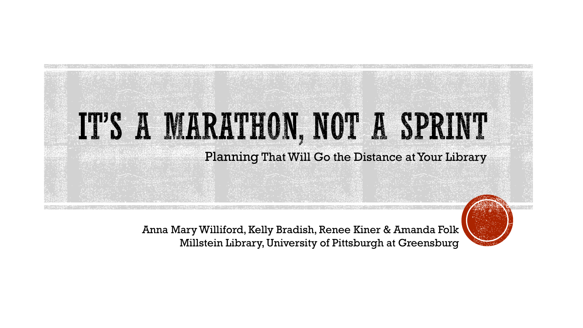# IT'S A MARATHON, NOT A SPRINT Planning That Will Go the Distance at Your Library

Anna Mary Williford, Kelly Bradish, Renee Kiner & Amanda Folk Millstein Library, University of Pittsburgh at Greensburg

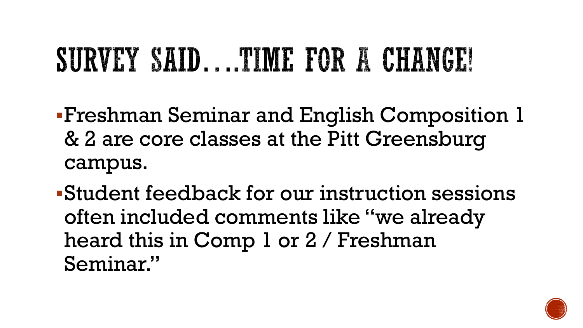### SURVEY SAID....TIME FOR A CHANGE!

- Freshman Seminar and English Composition 1 & 2 are core classes at the Pitt Greensburg campus.
- Student feedback for our instruction sessions often included comments like "we already heard this in Comp 1 or 2 / Freshman Seminar."

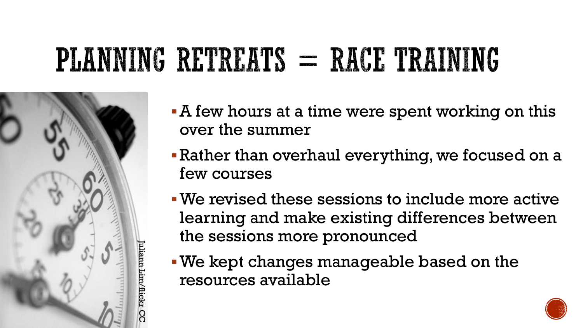### PLANNING RETREATS = RACE TRAINING



- A few hours at a time were spent working on this over the summer
- Rather than overhaul everything, we focused on a few courses
- We revised these sessions to include more active learning and make existing differences between the sessions more pronounced
- We kept changes manageable based on the resources available

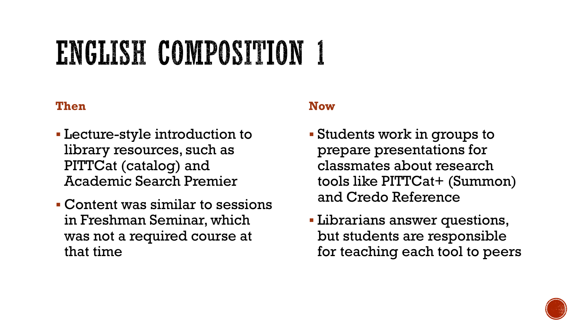### ENGLISH COMPOSITION 1

#### **Then**

- Lecture-style introduction to library resources, such as PITTCat (catalog) and Academic Search Premier
- Content was similar to sessions in Freshman Seminar, which was not a required course at that time

#### **Now**

- Students work in groups to prepare presentations for classmates about research tools like PITTCat+ (Summon) and Credo Reference
- Librarians answer questions, but students are responsible for teaching each tool to peers

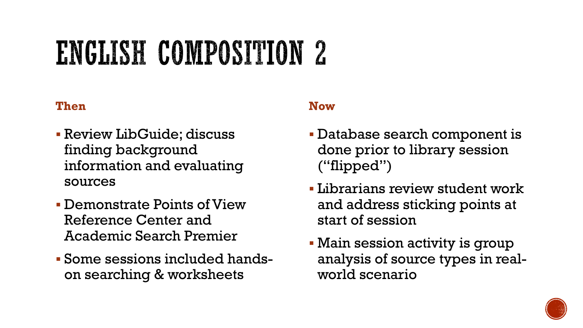### ENGLISH COMPOSITION 2

#### **Then**

- Review LibGuide; discuss finding background information and evaluating sources
- Demonstrate Points of View Reference Center and Academic Search Premier
- Some sessions included handson searching & worksheets

#### **Now**

- Database search component is done prior to library session ("flipped")
- Librarians review student work and address sticking points at start of session
- Main session activity is group analysis of source types in realworld scenario

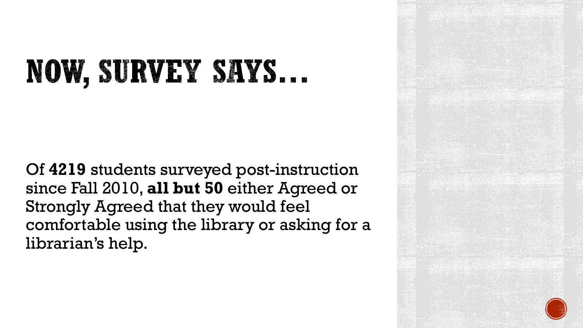### NOW, SURVEY SAYS...

Of **4219** students surveyed post-instruction since Fall 2010, **all but 50** either Agreed or Strongly Agreed that they would feel comfortable using the library or asking for a librarian's help.

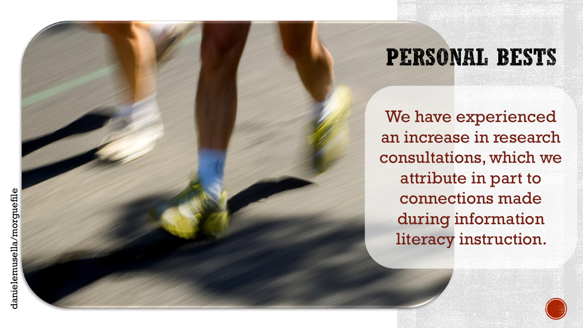### **PERSONAL BESTS**

We have experienced an increase in research consultations, which we attribute in part to connections made during information literacy instruction.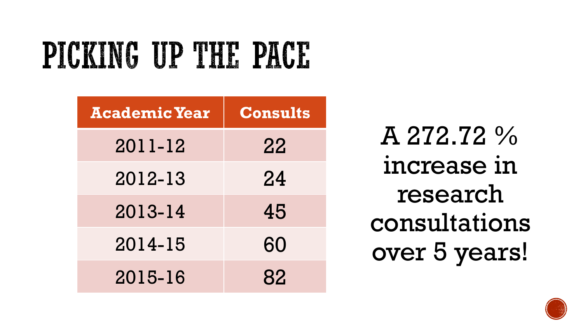## PICKING UP THE PACE

| <b>Academic Year</b> | <b>Consults</b> |
|----------------------|-----------------|
| 2011-12              | 22              |
| 2012-13              | 24              |
| 2013-14              | 45              |
| 2014-15              | 60              |
| 2015-16              | 82              |

A 272.72 % increase in research consultations over 5 years!